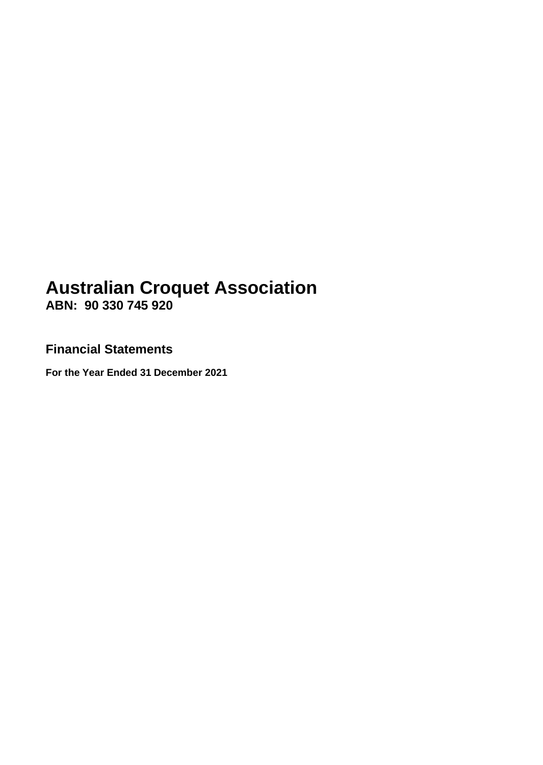# **Australian Croquet Association ABN: 90 330 745 920**

**Financial Statements**

**For the Year Ended 31 December 2021**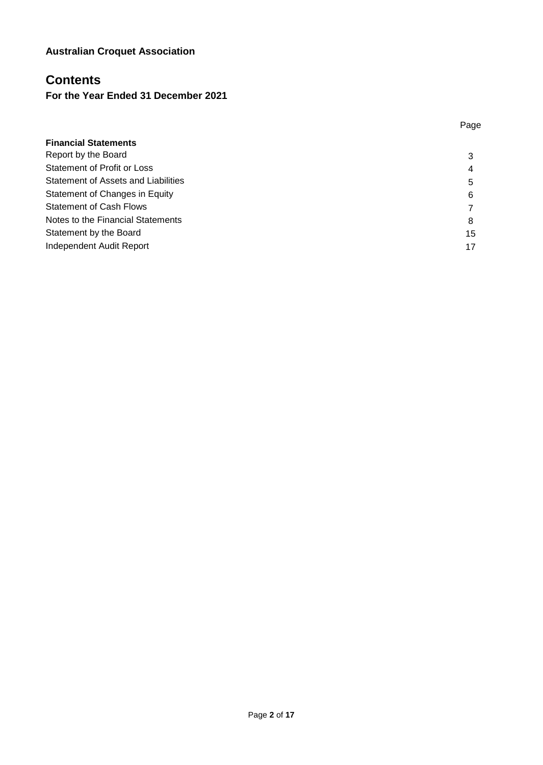### **Contents**

### **For the Year Ended 31 December 2021**

|                                     | Page |
|-------------------------------------|------|
| <b>Financial Statements</b>         |      |
| Report by the Board                 | 3    |
| <b>Statement of Profit or Loss</b>  | 4    |
| Statement of Assets and Liabilities | 5    |
| Statement of Changes in Equity      | 6    |
| <b>Statement of Cash Flows</b>      |      |
| Notes to the Financial Statements   | 8    |
| Statement by the Board              | 15   |
| Independent Audit Report            | 17   |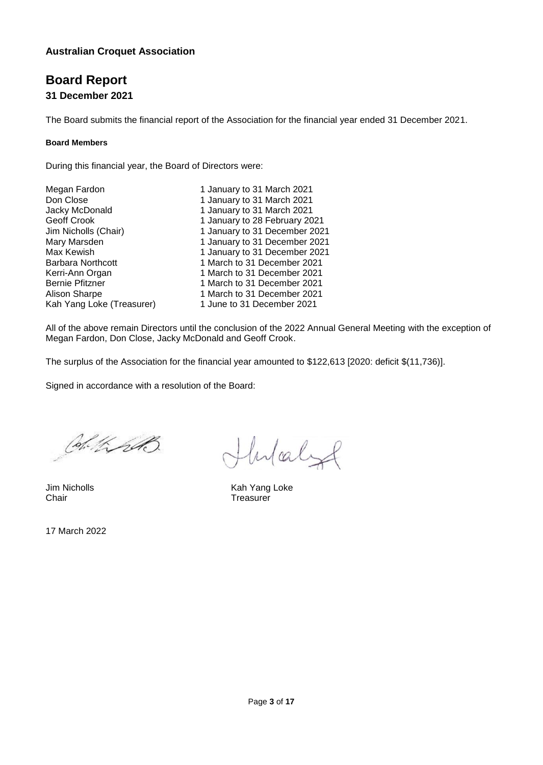# **Board Report**

**31 December 2021**

The Board submits the financial report of the Association for the financial year ended 31 December 2021.

#### **Board Members**

During this financial year, the Board of Directors were:

| Megan Fardon              | 1 January to 31 March 2021    |
|---------------------------|-------------------------------|
| Don Close                 | 1 January to 31 March 2021    |
| Jacky McDonald            | 1 January to 31 March 2021    |
| Geoff Crook               | 1 January to 28 February 2021 |
| Jim Nicholls (Chair)      | 1 January to 31 December 2021 |
| Mary Marsden              | 1 January to 31 December 2021 |
| Max Kewish                | 1 January to 31 December 2021 |
| <b>Barbara Northcott</b>  | 1 March to 31 December 2021   |
| Kerri-Ann Organ           | 1 March to 31 December 2021   |
| <b>Bernie Pfitzner</b>    | 1 March to 31 December 2021   |
| <b>Alison Sharpe</b>      | 1 March to 31 December 2021   |
| Kah Yang Loke (Treasurer) | 1 June to 31 December 2021    |
|                           |                               |

All of the above remain Directors until the conclusion of the 2022 Annual General Meeting with the exception of Megan Fardon, Don Close, Jacky McDonald and Geoff Crook.

The surplus of the Association for the financial year amounted to \$122,613 [2020: deficit \$(11,736)].

Signed in accordance with a resolution of the Board:

Col. KrAS

Hulaly

Jim Nicholls **Kah Yang Loke**<br>
Chair **Chair** Chair **Chair** Chair Treasurer

17 March 2022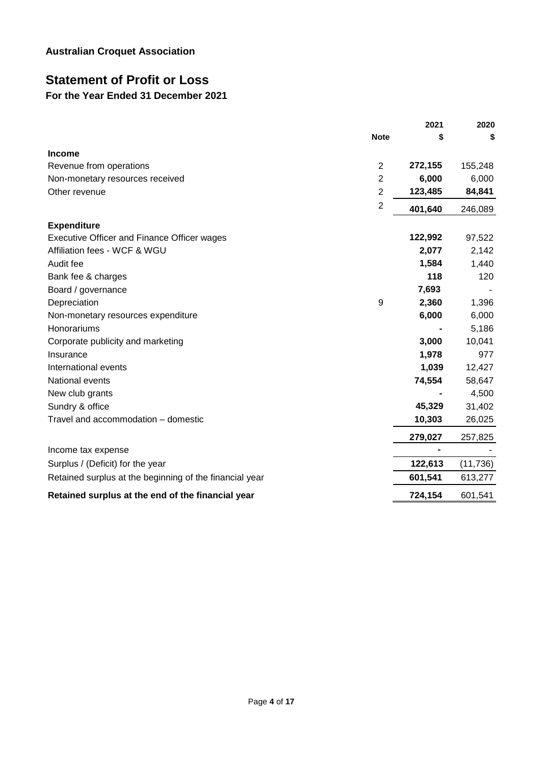# **Statement of Profit or Loss**

### **For the Year Ended 31 December 2021**

|                                                         |                | 2021    | 2020      |
|---------------------------------------------------------|----------------|---------|-----------|
|                                                         | <b>Note</b>    | \$      | S         |
| <b>Income</b>                                           |                |         |           |
| Revenue from operations                                 | $\overline{2}$ | 272,155 | 155,248   |
| Non-monetary resources received                         | 2              | 6,000   | 6,000     |
| Other revenue                                           | $\overline{2}$ | 123,485 | 84,841    |
|                                                         | $\sqrt{2}$     | 401,640 | 246,089   |
| <b>Expenditure</b>                                      |                |         |           |
| Executive Officer and Finance Officer wages             |                | 122,992 | 97,522    |
| Affiliation fees - WCF & WGU                            |                | 2,077   | 2,142     |
| Audit fee                                               |                | 1,584   | 1,440     |
| Bank fee & charges                                      |                | 118     | 120       |
| Board / governance                                      |                | 7,693   |           |
| Depreciation                                            | 9              | 2,360   | 1,396     |
| Non-monetary resources expenditure                      |                | 6,000   | 6,000     |
| Honorariums                                             |                |         | 5,186     |
| Corporate publicity and marketing                       |                | 3,000   | 10,041    |
| Insurance                                               |                | 1,978   | 977       |
| International events                                    |                | 1,039   | 12,427    |
| National events                                         |                | 74,554  | 58,647    |
| New club grants                                         |                |         | 4,500     |
| Sundry & office                                         |                | 45,329  | 31,402    |
| Travel and accommodation - domestic                     |                | 10,303  | 26,025    |
|                                                         |                | 279,027 | 257,825   |
| Income tax expense                                      |                |         |           |
| Surplus / (Deficit) for the year                        |                | 122,613 | (11, 736) |
| Retained surplus at the beginning of the financial year |                | 601,541 | 613,277   |
| Retained surplus at the end of the financial year       |                | 724,154 | 601,541   |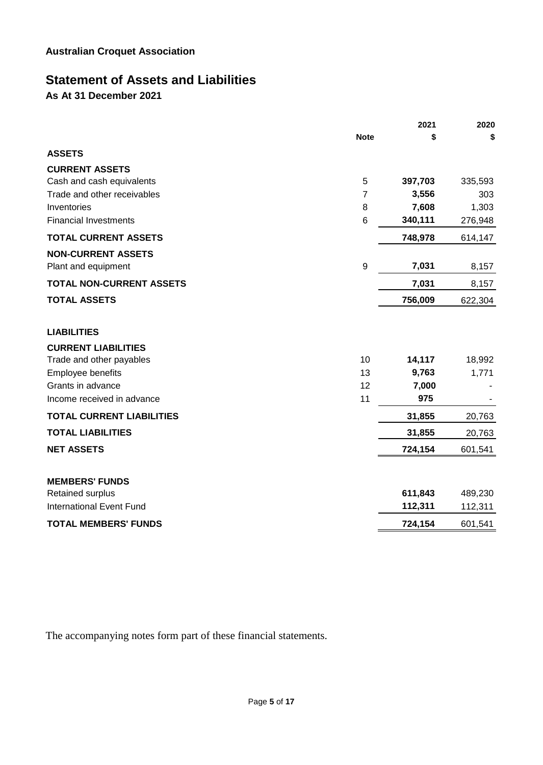### **Statement of Assets and Liabilities**

**As At 31 December 2021**

|                                  |             | 2021    | 2020    |
|----------------------------------|-------------|---------|---------|
|                                  | <b>Note</b> | \$      | \$      |
| <b>ASSETS</b>                    |             |         |         |
| <b>CURRENT ASSETS</b>            |             |         |         |
| Cash and cash equivalents        | 5           | 397,703 | 335,593 |
| Trade and other receivables      | 7           | 3,556   | 303     |
| Inventories                      | 8           | 7,608   | 1,303   |
| <b>Financial Investments</b>     | $\,6$       | 340,111 | 276,948 |
| <b>TOTAL CURRENT ASSETS</b>      |             | 748,978 | 614,147 |
| <b>NON-CURRENT ASSETS</b>        |             |         |         |
| Plant and equipment              | 9           | 7,031   | 8,157   |
| <b>TOTAL NON-CURRENT ASSETS</b>  |             | 7,031   | 8,157   |
| <b>TOTAL ASSETS</b>              |             | 756,009 | 622,304 |
| <b>LIABILITIES</b>               |             |         |         |
| <b>CURRENT LIABILITIES</b>       |             |         |         |
| Trade and other payables         | 10          | 14,117  | 18,992  |
| Employee benefits                | 13          | 9,763   | 1,771   |
| Grants in advance                | 12          | 7,000   |         |
| Income received in advance       | 11          | 975     |         |
| <b>TOTAL CURRENT LIABILITIES</b> |             | 31,855  | 20,763  |
| <b>TOTAL LIABILITIES</b>         |             | 31,855  | 20,763  |
| <b>NET ASSETS</b>                |             | 724,154 | 601,541 |
| <b>MEMBERS' FUNDS</b>            |             |         |         |
| Retained surplus                 |             | 611,843 | 489,230 |
| <b>International Event Fund</b>  |             | 112,311 | 112,311 |
| <b>TOTAL MEMBERS' FUNDS</b>      |             | 724,154 | 601,541 |

The accompanying notes form part of these financial statements.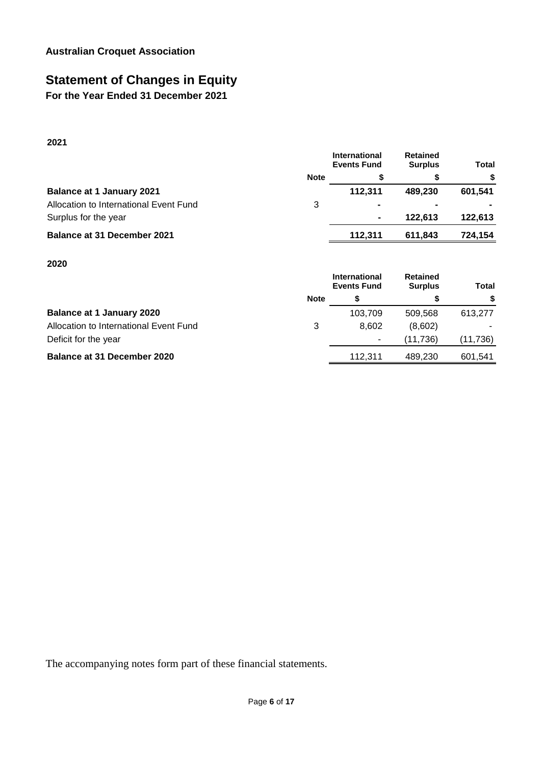# **Statement of Changes in Equity**

**For the Year Ended 31 December 2021**

**2021**

|             | International<br><b>Events Fund</b> | <b>Retained</b><br><b>Surplus</b> | <b>Total</b> |
|-------------|-------------------------------------|-----------------------------------|--------------|
| <b>Note</b> |                                     |                                   | \$           |
|             | 112.311                             | 489.230                           | 601.541      |
| 3           | $\blacksquare$                      |                                   |              |
|             | $\blacksquare$                      | 122.613                           | 122,613      |
|             | 112.311                             | 611,843                           | 724,154      |
|             |                                     |                                   |              |

#### **2020**

|                                        |             | International<br><b>Events Fund</b> | <b>Retained</b><br><b>Surplus</b> | <b>Total</b> |
|----------------------------------------|-------------|-------------------------------------|-----------------------------------|--------------|
|                                        | <b>Note</b> |                                     |                                   | S            |
| <b>Balance at 1 January 2020</b>       |             | 103.709                             | 509.568                           | 613.277      |
| Allocation to International Event Fund | 3           | 8.602                               | (8,602)                           |              |
| Deficit for the year                   |             |                                     | (11.736)                          | (11, 736)    |
| <b>Balance at 31 December 2020</b>     |             | 112.311                             | 489.230                           | 601,541      |

The accompanying notes form part of these financial statements.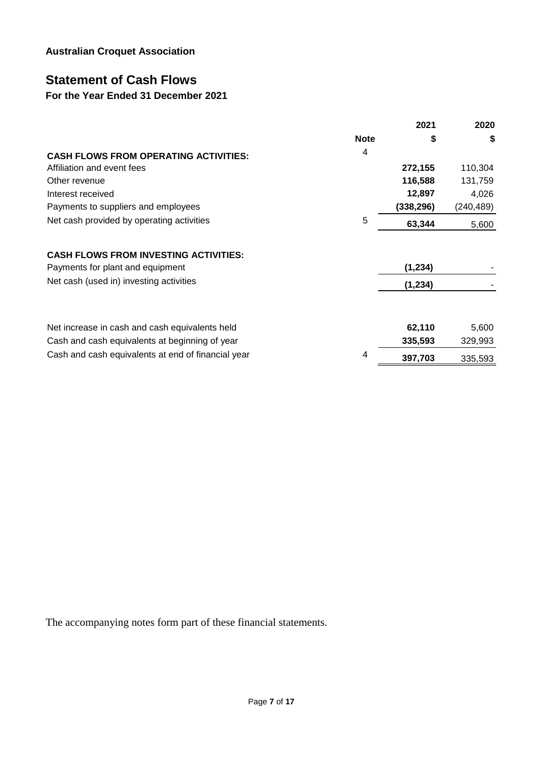# **Statement of Cash Flows**

### **For the Year Ended 31 December 2021**

|                                                                                                  |             | 2021              | 2020             |
|--------------------------------------------------------------------------------------------------|-------------|-------------------|------------------|
|                                                                                                  | <b>Note</b> | \$                | \$               |
| <b>CASH FLOWS FROM OPERATING ACTIVITIES:</b>                                                     | 4           |                   |                  |
| Affiliation and event fees                                                                       |             | 272,155           | 110,304          |
| Other revenue                                                                                    |             | 116,588           | 131,759          |
| Interest received                                                                                |             | 12,897            | 4,026            |
| Payments to suppliers and employees                                                              |             | (338, 296)        | (240, 489)       |
| Net cash provided by operating activities                                                        | 5           | 63,344            | 5,600            |
| <b>CASH FLOWS FROM INVESTING ACTIVITIES:</b><br>Payments for plant and equipment                 |             | (1, 234)          |                  |
| Net cash (used in) investing activities                                                          |             | (1,234)           |                  |
| Net increase in cash and cash equivalents held<br>Cash and cash equivalents at beginning of year |             | 62,110<br>335,593 | 5,600<br>329,993 |
| Cash and cash equivalents at end of financial year                                               | 4           | 397,703           | 335,593          |

The accompanying notes form part of these financial statements.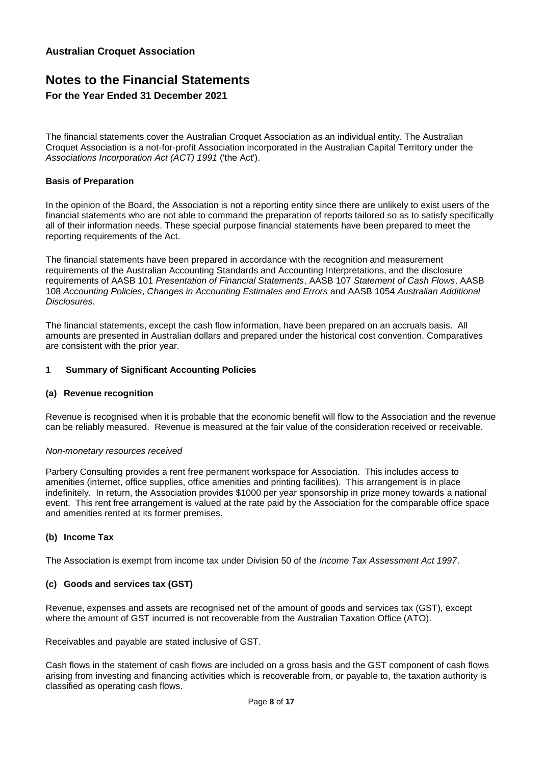### **Notes to the Financial Statements For the Year Ended 31 December 2021**

The financial statements cover the Australian Croquet Association as an individual entity. The Australian Croquet Association is a not-for-profit Association incorporated in the Australian Capital Territory under the *Associations Incorporation Act (ACT) 1991* ('the Act').

#### **Basis of Preparation**

In the opinion of the Board, the Association is not a reporting entity since there are unlikely to exist users of the financial statements who are not able to command the preparation of reports tailored so as to satisfy specifically all of their information needs. These special purpose financial statements have been prepared to meet the reporting requirements of the Act.

The financial statements have been prepared in accordance with the recognition and measurement requirements of the Australian Accounting Standards and Accounting Interpretations, and the disclosure requirements of AASB 101 *Presentation of Financial Statements*, AASB 107 *Statement of Cash Flows*, AASB 108 *Accounting Policies*, *Changes in Accounting Estimates and Errors* and AASB 1054 *Australian Additional Disclosures*.

The financial statements, except the cash flow information, have been prepared on an accruals basis. All amounts are presented in Australian dollars and prepared under the historical cost convention. Comparatives are consistent with the prior year.

#### **1 Summary of Significant Accounting Policies**

#### **(a) Revenue recognition**

Revenue is recognised when it is probable that the economic benefit will flow to the Association and the revenue can be reliably measured. Revenue is measured at the fair value of the consideration received or receivable.

#### *Non-monetary resources received*

Parbery Consulting provides a rent free permanent workspace for Association. This includes access to amenities (internet, office supplies, office amenities and printing facilities). This arrangement is in place indefinitely. In return, the Association provides \$1000 per year sponsorship in prize money towards a national event. This rent free arrangement is valued at the rate paid by the Association for the comparable office space and amenities rented at its former premises.

#### **(b) Income Tax**

The Association is exempt from income tax under Division 50 of the *Income Tax Assessment Act 1997*.

#### **(c) Goods and services tax (GST)**

Revenue, expenses and assets are recognised net of the amount of goods and services tax (GST), except where the amount of GST incurred is not recoverable from the Australian Taxation Office (ATO).

Receivables and payable are stated inclusive of GST.

Cash flows in the statement of cash flows are included on a gross basis and the GST component of cash flows arising from investing and financing activities which is recoverable from, or payable to, the taxation authority is classified as operating cash flows.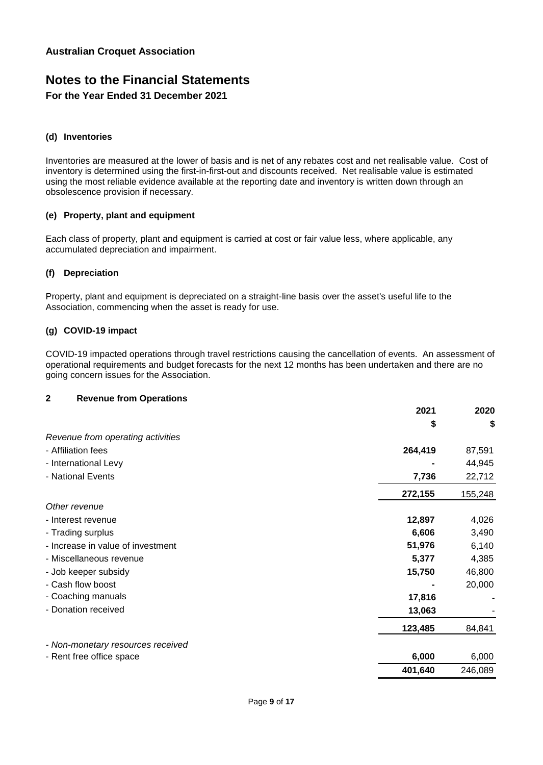### **Notes to the Financial Statements For the Year Ended 31 December 2021**

#### **(d) Inventories**

Inventories are measured at the lower of basis and is net of any rebates cost and net realisable value. Cost of inventory is determined using the first-in-first-out and discounts received. Net realisable value is estimated using the most reliable evidence available at the reporting date and inventory is written down through an obsolescence provision if necessary.

#### **(e) Property, plant and equipment**

Each class of property, plant and equipment is carried at cost or fair value less, where applicable, any accumulated depreciation and impairment.

#### **(f) Depreciation**

Property, plant and equipment is depreciated on a straight-line basis over the asset's useful life to the Association, commencing when the asset is ready for use.

#### **(g) COVID-19 impact**

COVID-19 impacted operations through travel restrictions causing the cancellation of events. An assessment of operational requirements and budget forecasts for the next 12 months has been undertaken and there are no going concern issues for the Association.

#### **2 Revenue from Operations**

|                                   | 2021    | 2020    |
|-----------------------------------|---------|---------|
|                                   | \$      | \$      |
| Revenue from operating activities |         |         |
| - Affiliation fees                | 264,419 | 87,591  |
| - International Levy              |         | 44,945  |
| - National Events                 | 7,736   | 22,712  |
|                                   | 272,155 | 155,248 |
| Other revenue                     |         |         |
| - Interest revenue                | 12,897  | 4,026   |
| - Trading surplus                 | 6,606   | 3,490   |
| - Increase in value of investment | 51,976  | 6,140   |
| - Miscellaneous revenue           | 5,377   | 4,385   |
| - Job keeper subsidy              | 15,750  | 46,800  |
| - Cash flow boost                 |         | 20,000  |
| - Coaching manuals                | 17,816  |         |
| - Donation received               | 13,063  |         |
|                                   | 123,485 | 84,841  |
| - Non-monetary resources received |         |         |
| - Rent free office space          | 6,000   | 6,000   |
|                                   | 401,640 | 246,089 |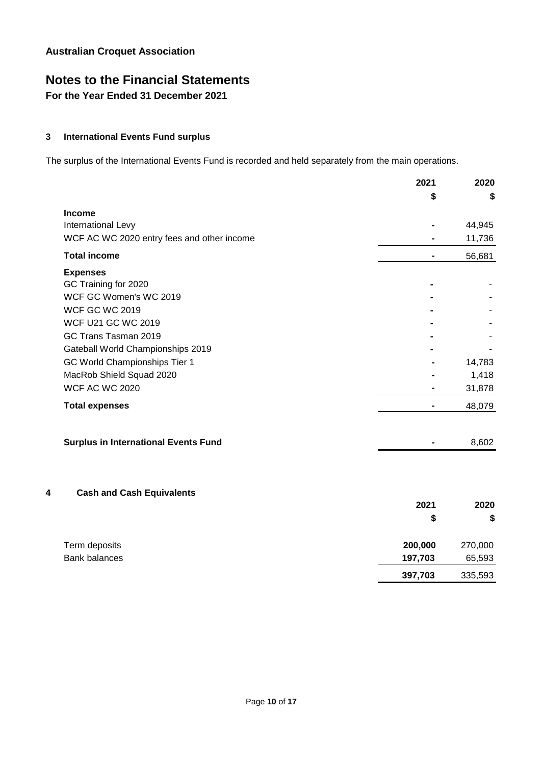# **Notes to the Financial Statements**

**For the Year Ended 31 December 2021**

#### **3 International Events Fund surplus**

The surplus of the International Events Fund is recorded and held separately from the main operations.

|                                             | 2021           | 2020    |
|---------------------------------------------|----------------|---------|
|                                             | S              | S       |
| <b>Income</b>                               |                |         |
| International Levy                          |                | 44,945  |
| WCF AC WC 2020 entry fees and other income  |                | 11,736  |
| <b>Total income</b>                         |                | 56,681  |
| <b>Expenses</b>                             |                |         |
| GC Training for 2020                        |                |         |
| WCF GC Women's WC 2019                      |                |         |
| <b>WCF GC WC 2019</b>                       |                |         |
| <b>WCF U21 GC WC 2019</b>                   |                |         |
| GC Trans Tasman 2019                        |                |         |
| Gateball World Championships 2019           |                |         |
| GC World Championships Tier 1               |                | 14,783  |
| MacRob Shield Squad 2020                    |                | 1,418   |
| <b>WCF AC WC 2020</b>                       |                | 31,878  |
| <b>Total expenses</b>                       | $\blacksquare$ | 48,079  |
| <b>Surplus in International Events Fund</b> |                | 8,602   |
|                                             |                |         |
| <b>Cash and Cash Equivalents</b><br>4       |                |         |
|                                             | 2021           | 2020    |
|                                             | \$             | \$      |
| Term deposits                               | 200,000        | 270,000 |
| <b>Bank balances</b>                        | 197,703        | 65,593  |
|                                             | 397,703        | 335,593 |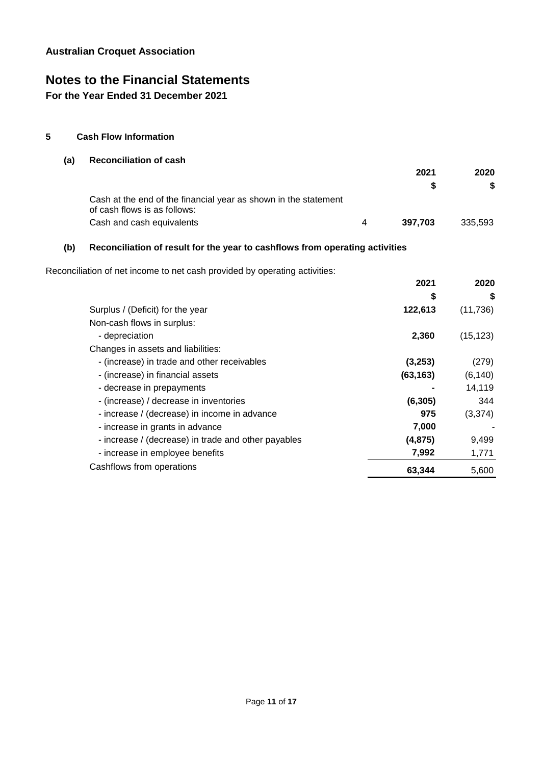### **Notes to the Financial Statements**

**For the Year Ended 31 December 2021**

#### **5 Cash Flow Information**

#### **(a) Reconciliation of cash**

|                                                                                                 |         | S       |
|-------------------------------------------------------------------------------------------------|---------|---------|
| Cash at the end of the financial year as shown in the statement<br>of cash flows is as follows: |         |         |
| Cash and cash equivalents                                                                       | 397.703 | 335.593 |

**2021**

**2020**

#### **(b) Reconciliation of result for the year to cashflows from operating activities**

Reconciliation of net income to net cash provided by operating activities:

|                                                     | 2021      | 2020      |
|-----------------------------------------------------|-----------|-----------|
|                                                     | \$        | \$        |
| Surplus / (Deficit) for the year                    | 122,613   | (11, 736) |
| Non-cash flows in surplus:                          |           |           |
| - depreciation                                      | 2,360     | (15, 123) |
| Changes in assets and liabilities:                  |           |           |
| - (increase) in trade and other receivables         | (3,253)   | (279)     |
| - (increase) in financial assets                    | (63, 163) | (6, 140)  |
| - decrease in prepayments                           |           | 14,119    |
| - (increase) / decrease in inventories              | (6, 305)  | 344       |
| - increase / (decrease) in income in advance        | 975       | (3,374)   |
| - increase in grants in advance                     | 7,000     |           |
| - increase / (decrease) in trade and other payables | (4, 875)  | 9,499     |
| - increase in employee benefits                     | 7,992     | 1,771     |
| Cashflows from operations                           | 63,344    | 5,600     |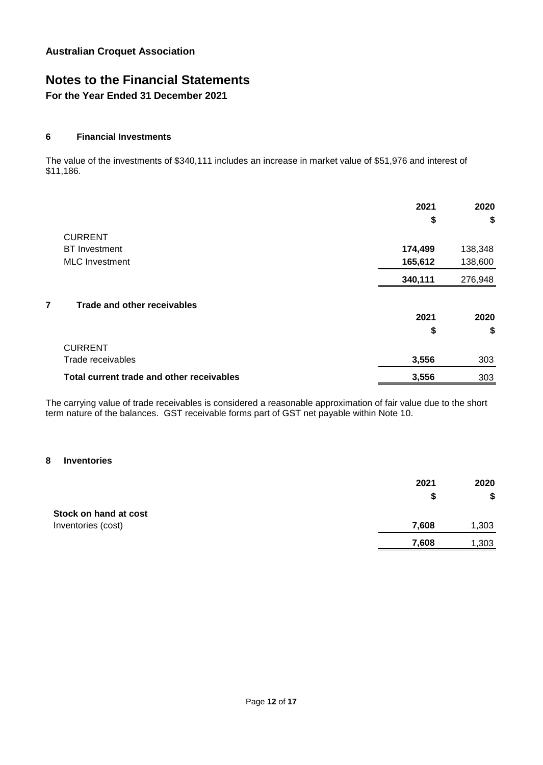### **Notes to the Financial Statements**

**For the Year Ended 31 December 2021**

#### **6 Financial Investments**

The value of the investments of \$340,111 includes an increase in market value of \$51,976 and interest of \$11,186.

|                                           | 2021    | 2020    |
|-------------------------------------------|---------|---------|
|                                           | \$      | \$      |
| <b>CURRENT</b>                            |         |         |
| <b>BT</b> Investment                      | 174,499 | 138,348 |
| <b>MLC</b> Investment                     | 165,612 | 138,600 |
|                                           | 340,111 | 276,948 |
| 7<br>Trade and other receivables          |         |         |
|                                           | 2021    | 2020    |
|                                           | \$      | \$      |
| <b>CURRENT</b>                            |         |         |
| Trade receivables                         | 3,556   | 303     |
| Total current trade and other receivables | 3,556   | 303     |

The carrying value of trade receivables is considered a reasonable approximation of fair value due to the short term nature of the balances. GST receivable forms part of GST net payable within Note 10.

#### **8 Inventories**

| 2021  | 2020  |
|-------|-------|
| S     | \$    |
|       |       |
| 7,608 | 1,303 |
| 7,608 | 1,303 |
|       |       |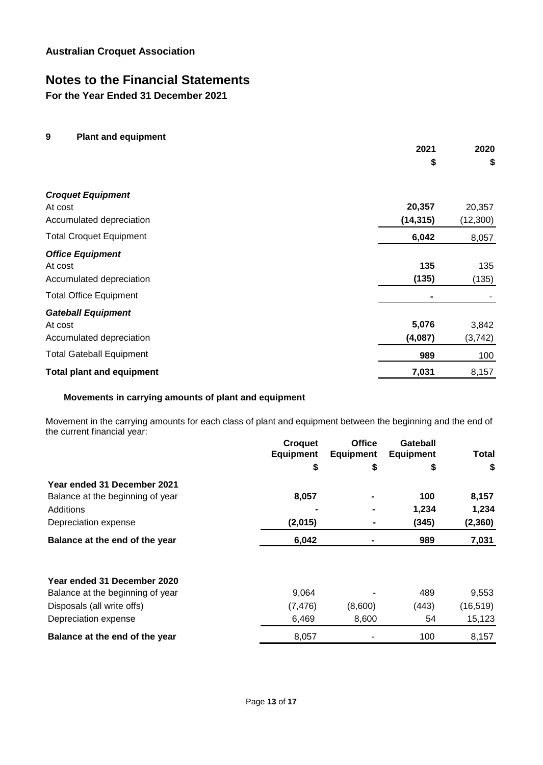### **Notes to the Financial Statements**

**For the Year Ended 31 December 2021**

#### **9 Plant and equipment**

|                                  | 2021      | 2020     |
|----------------------------------|-----------|----------|
|                                  | \$        | \$       |
| <b>Croquet Equipment</b>         |           |          |
| At cost                          | 20,357    | 20,357   |
| Accumulated depreciation         | (14, 315) | (12,300) |
| <b>Total Croquet Equipment</b>   | 6,042     | 8,057    |
| <b>Office Equipment</b>          |           |          |
| At cost                          | 135       | 135      |
| Accumulated depreciation         | (135)     | (135)    |
| <b>Total Office Equipment</b>    |           |          |
| <b>Gateball Equipment</b>        |           |          |
| At cost                          | 5,076     | 3,842    |
| Accumulated depreciation         | (4,087)   | (3, 742) |
| <b>Total Gateball Equipment</b>  | 989       | 100      |
| <b>Total plant and equipment</b> | 7,031     | 8,157    |

#### **Movements in carrying amounts of plant and equipment**

Movement in the carrying amounts for each class of plant and equipment between the beginning and the end of the current financial year:

|                                  | <b>Croquet</b><br><b>Equipment</b> | <b>Office</b><br><b>Equipment</b> | Gateball<br><b>Equipment</b> | Total     |
|----------------------------------|------------------------------------|-----------------------------------|------------------------------|-----------|
|                                  | \$                                 | \$                                | \$                           | \$        |
| Year ended 31 December 2021      |                                    |                                   |                              |           |
| Balance at the beginning of year | 8,057                              |                                   | 100                          | 8,157     |
| Additions                        |                                    |                                   | 1,234                        | 1,234     |
| Depreciation expense             | (2,015)                            |                                   | (345)                        | (2, 360)  |
| Balance at the end of the year   | 6,042                              |                                   | 989                          | 7,031     |
|                                  |                                    |                                   |                              |           |
| Year ended 31 December 2020      |                                    |                                   |                              |           |
| Balance at the beginning of year | 9,064                              |                                   | 489                          | 9,553     |
| Disposals (all write offs)       | (7, 476)                           | (8,600)                           | (443)                        | (16, 519) |
| Depreciation expense             | 6,469                              | 8,600                             | 54                           | 15,123    |
| Balance at the end of the year   | 8,057                              |                                   | 100                          | 8,157     |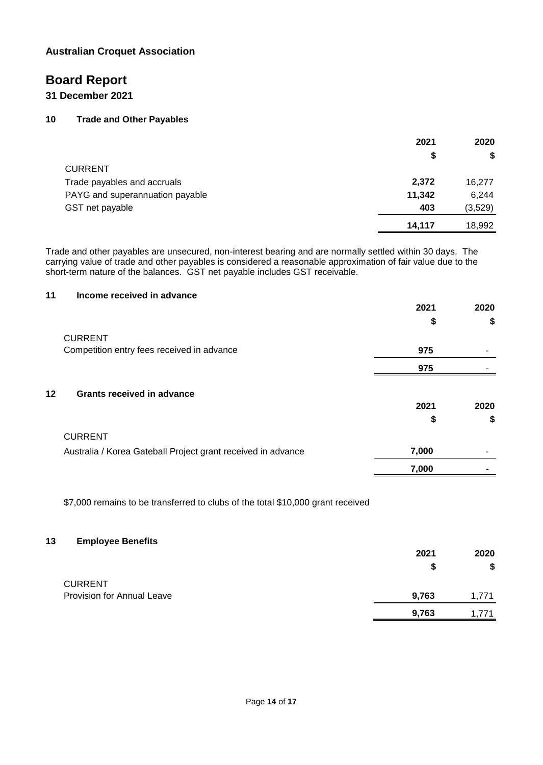### **Board Report**

#### **31 December 2021**

#### **10 Trade and Other Payables**

|                                 | 2021   | 2020    |
|---------------------------------|--------|---------|
|                                 | S      | \$      |
| <b>CURRENT</b>                  |        |         |
| Trade payables and accruals     | 2,372  | 16,277  |
| PAYG and superannuation payable | 11,342 | 6,244   |
| GST net payable                 | 403    | (3,529) |
|                                 | 14,117 | 18,992  |

Trade and other payables are unsecured, non-interest bearing and are normally settled within 30 days. The carrying value of trade and other payables is considered a reasonable approximation of fair value due to the short-term nature of the balances. GST net payable includes GST receivable.

#### **11 Income received in advance**

|                                                              | 2021  | 2020 |
|--------------------------------------------------------------|-------|------|
|                                                              | \$    | \$   |
| <b>CURRENT</b>                                               |       |      |
| Competition entry fees received in advance                   | 975   | ۰    |
|                                                              | 975   |      |
| 12 <sup>°</sup><br><b>Grants received in advance</b>         |       |      |
|                                                              | 2021  | 2020 |
|                                                              | \$    | \$   |
| <b>CURRENT</b>                                               |       |      |
| Australia / Korea Gateball Project grant received in advance | 7,000 |      |
|                                                              | 7,000 |      |

\$7,000 remains to be transferred to clubs of the total \$10,000 grant received

#### **13 Employee Benefits**

|                                   | 2021  | 2020  |
|-----------------------------------|-------|-------|
|                                   | S     | \$    |
| <b>CURRENT</b>                    |       |       |
| <b>Provision for Annual Leave</b> | 9,763 | 1.771 |
|                                   | 9,763 | 1.771 |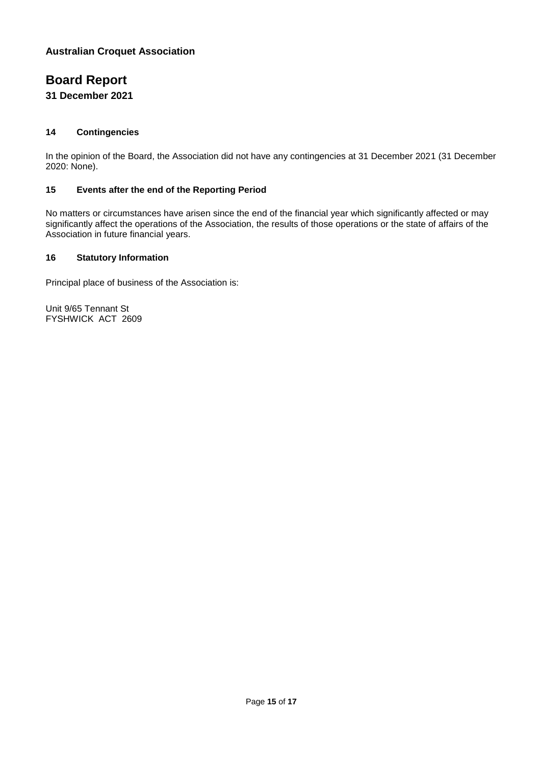### **Board Report**

#### **31 December 2021**

#### **14 Contingencies**

In the opinion of the Board, the Association did not have any contingencies at 31 December 2021 (31 December 2020: None).

#### **15 Events after the end of the Reporting Period**

No matters or circumstances have arisen since the end of the financial year which significantly affected or may significantly affect the operations of the Association, the results of those operations or the state of affairs of the Association in future financial years.

#### **16 Statutory Information**

Principal place of business of the Association is:

Unit 9/65 Tennant St FYSHWICK ACT 2609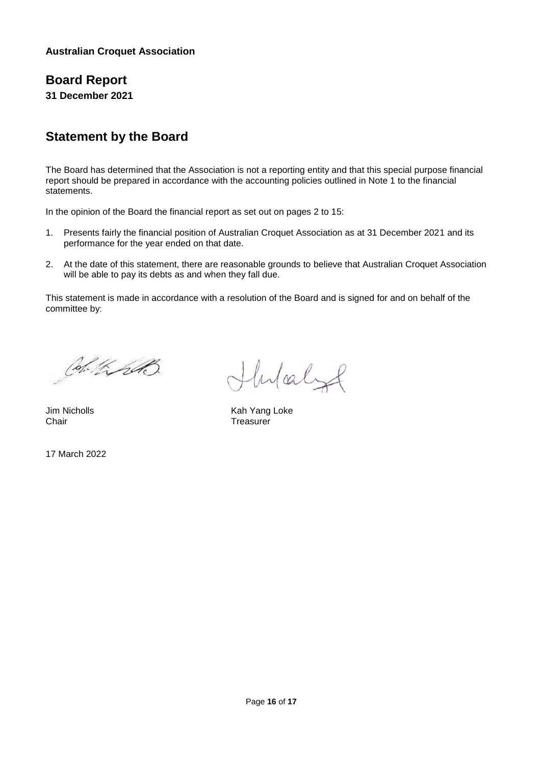### **Board Report**

**31 December 2021**

### **Statement by the Board**

The Board has determined that the Association is not a reporting entity and that this special purpose financial report should be prepared in accordance with the accounting policies outlined in Note 1 to the financial statements.

In the opinion of the Board the financial report as set out on pages 2 to 15:

- 1. Presents fairly the financial position of Australian Croquet Association as at 31 December 2021 and its performance for the year ended on that date.
- 2. At the date of this statement, there are reasonable grounds to believe that Australian Croquet Association will be able to pay its debts as and when they fall due.

This statement is made in accordance with a resolution of the Board and is signed for and on behalf of the committee by:

Col. KrAB

Chair Treasurer

17 March 2022

Hulaly

Jim Nicholls **Kah Yang Loke** Kah Yang Loke